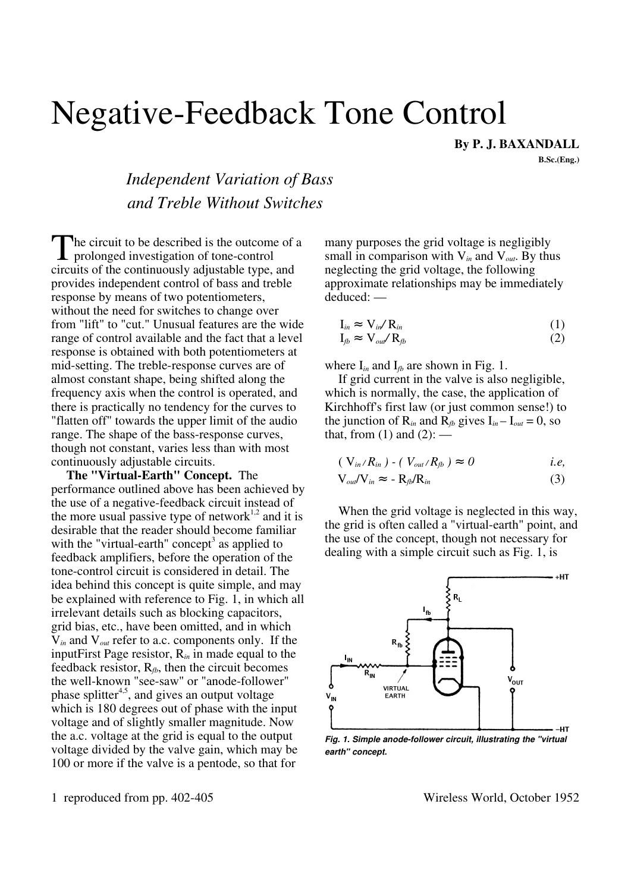## Negative-Feedback Tone Control

By P. J. BAXANDALL

B.Sc.(Eng.)

## *Independent Variation of Bass and Treble Without Switches*

he circuit to be described is the outcome of a The circuit to be described is the outcome<br>prolonged investigation of tone-control<br>eigenits of the continuously edivated type circuits of the continuously adjustable type, and provides independent control of bass and treble response by means of two potentiometers, without the need for switches to change over from "lift" to "cut." Unusual features are the wide range of control available and the fact that a level response is obtained with both potentiometers at mid-setting. The treble-response curves are of almost constant shape, being shifted along the frequency axis when the control is operated, and there is practically no tendency for the curves to "flatten off" towards the upper limit of the audio range. The shape of the bass-response curves, though not constant, varies less than with most continuously adjustable circuits.

The "Virtual-Earth" Concept. The performance outlined above has been achieved by the use of a negative-feedback circuit instead of the more usual passive type of network<sup>1,2</sup> and it is desirable that the reader should become familiar with the "virtual-earth" concept<sup>3</sup> as applied to feedback amplifiers, before the operation of the tone-control circuit is considered in detail. The idea behind this concept is quite simple, and may be explained with reference to Fig. 1, in which all irrelevant details such as blocking capacitors, grid bias, etc., have been omitted, and in which V*in* and V*out* refer to a.c. components only. If the inputFirst Page resistor, R*in* in made equal to the feedback resistor,  $R_{tb}$ , then the circuit becomes the well-known "see-saw" or "anode-follower" phase splitter<sup>4,5</sup>, and gives an output voltage which is 180 degrees out of phase with the input voltage and of slightly smaller magnitude. Now the a.c. voltage at the grid is equal to the output voltage divided by the valve gain, which may be 100 or more if the valve is a pentode, so that for

many purposes the grid voltage is negligibly small in comparison with V*in* and V*out*. By thus neglecting the grid voltage, the following approximate relationships may be immediately deduced: —

$$
I_{in} \approx V_{in}/R_{in} \tag{1}
$$

$$
I_{fb} \approx V_{out}/R_{fb} \tag{2}
$$

where  $I_{in}$  and  $I_{fb}$  are shown in Fig. 1.

If grid current in the valve is also negligible, which is normally, the case, the application of Kirchhoff's first law (or just common sense!) to the junction of  $R_{in}$  and  $R_{fb}$  gives  $I_{in} - I_{out} = 0$ , so that, from  $(1)$  and  $(2)$ : —

$$
(\mathbf{V}_{in}/R_{in}) - (\mathbf{V}_{out}/R_{fb}) \approx 0 \qquad i.e,
$$

$$
V_{out}/V_{in} \approx -R_{fb}/R_{in}
$$
 (3)

When the grid voltage is neglected in this way, the grid is often called a "virtual-earth" point, and the use of the concept, though not necessary for dealing with a simple circuit such as Fig. 1, is



*Fig. 1. Simple anode-follower circuit, illustrating the "virtual earth" concept.*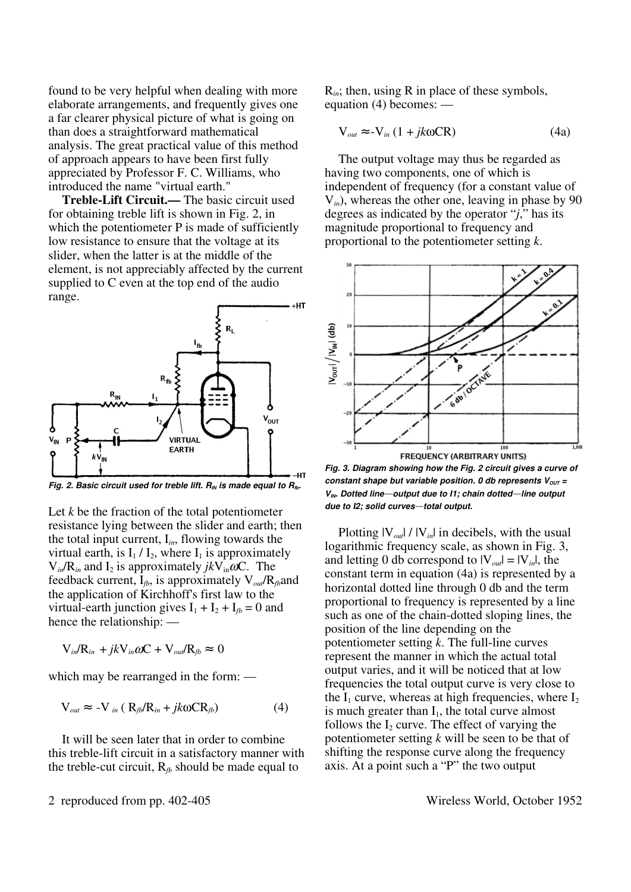found to be very helpful when dealing with more elaborate arrangements, and frequently gives one a far clearer physical picture of what is going on than does a straightforward mathematical analysis. The great practical value of this method of approach appears to have been first fully appreciated by Professor F. C. Williams, who introduced the name "virtual earth."

Treble-Lift Circuit.— The basic circuit used for obtaining treble lift is shown in Fig. 2, in which the potentiometer P is made of sufficiently low resistance to ensure that the voltage at its slider, when the latter is at the middle of the element, is not appreciably affected by the current supplied to C even at the top end of the audio range.



*Fig. 2. Basic circuit used for treble lift.*  $R_N$  *is made equal to*  $R_{\text{fb}}$ *.* 

Let *k* be the fraction of the total potentiometer resistance lying between the slider and earth; then the total input current, I*in*, flowing towards the virtual earth, is  $I_1 / I_2$ , where  $I_1$  is approximately  $V_{in}/R_{in}$  and  $I_2$  is approximately  $jkV_{in}\omega C$ . The feedback current, I*fb*, is approximately V*out*/R*fb*and the application of Kirchhoff's first law to the virtual-earth junction gives  $I_1 + I_2 + I_{tb} = 0$  and hence the relationship: —

$$
V_{in}/R_{in} + jkV_{in}\omega C + V_{out}/R_{fb} \approx 0
$$

which may be rearranged in the form: —

$$
V_{out} \approx -V_{in} (R_{fb}/R_{in} + jk\omega CR_{fb})
$$
 (4)

It will be seen later that in order to combine this treble-lift circuit in a satisfactory manner with the treble-cut circuit,  $R_{tb}$  should be made equal to

R*in*; then, using R in place of these symbols, equation (4) becomes: —

$$
V_{out} \approx -V_{in} (1 + jk\omega CR)
$$
 (4a)

The output voltage may thus be regarded as having two components, one of which is independent of frequency (for a constant value of V*in*), whereas the other one, leaving in phase by 90 degrees as indicated by the operator "*j*," has its magnitude proportional to frequency and proportional to the potentiometer setting *k*.



*Fig. 3. Diagram showing how the Fig. 2 circuit gives a curve of constant shape but variable position. 0 db represents*  $V_{OUT}$  *= VIN. Dotted line***—***output due to I1; chain dotted***—***line output due to I2; solid curves***—***total output.*

Plotting  $|V_{out}| / |V_{in}|$  in decibels, with the usual logarithmic frequency scale, as shown in Fig. 3, and letting 0 db correspond to  $|V_{out}| = |V_{in}|$ , the constant term in equation (4a) is represented by a horizontal dotted line through 0 db and the term proportional to frequency is represented by a line such as one of the chain-dotted sloping lines, the position of the line depending on the potentiometer setting *k*. The full-line curves represent the manner in which the actual total output varies, and it will be noticed that at low frequencies the total output curve is very close to the  $I_1$  curve, whereas at high frequencies, where  $I_2$ is much greater than  $I_1$ , the total curve almost follows the  $I_2$  curve. The effect of varying the potentiometer setting *k* will be seen to be that of shifting the response curve along the frequency axis. At a point such a "P" the two output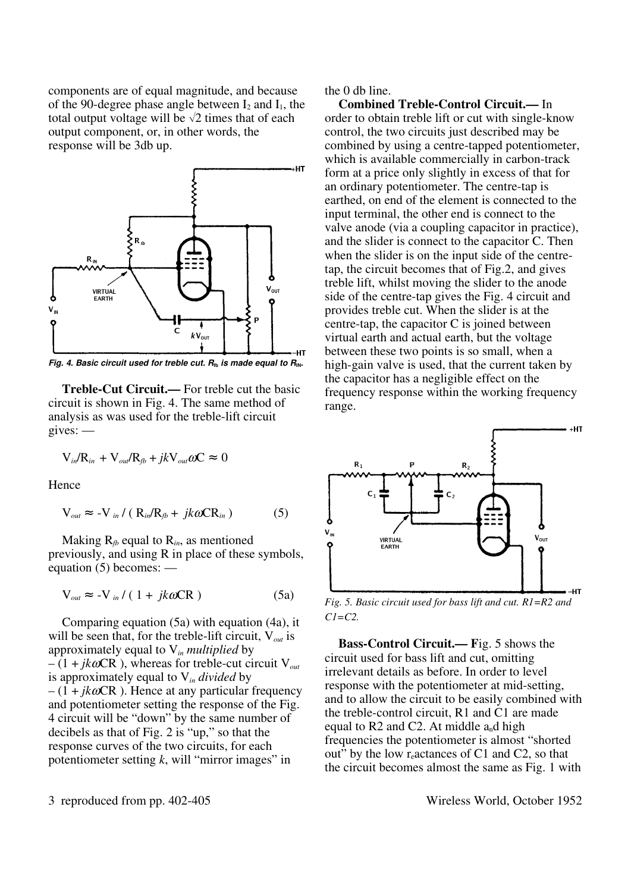components are of equal magnitude, and because of the 90-degree phase angle between  $I_2$  and  $I_1$ , the total output voltage will be  $\sqrt{2}$  times that of each output component, or, in other words, the response will be 3db up.



*Fig. 4. Basic circuit used for treble cut.*  $R$ *<sup><i>th*</sup></sup> *is made equal to*  $R$ *<sup>IN</sup>.* 

Treble-Cut Circuit.— For treble cut the basic circuit is shown in Fig. 4. The same method of analysis as was used for the treble-lift circuit gives: —

$$
V_{in}/R_{in} + V_{out}/R_{fb} + jkV_{out} \omega C \approx 0
$$

Hence

$$
V_{out} \approx -V_{in} / (R_{in}/R_{fb} + jkaCR_{in})
$$
 (5)

Making  $R_f$  equal to  $R_i$ , as mentioned previously, and using R in place of these symbols, equation (5) becomes: —

$$
V_{out} \approx -V_{in}/(1 + jk\omega CR)
$$
 (5a)

Comparing equation (5a) with equation (4a), it will be seen that, for the treble-lift circuit, V*out* is approximately equal to V*in multiplied* by  $-(1 + jk\omega CR)$ , whereas for treble-cut circuit  $V_{out}$ is approximately equal to V*in divided* by  $-(1 + ik\omega$ CR). Hence at any particular frequency and potentiometer setting the response of the Fig. 4 circuit will be "down" by the same number of decibels as that of Fig. 2 is "up," so that the response curves of the two circuits, for each potentiometer setting *k*, will "mirror images" in

the 0 db line.

Combined Treble-Control Circuit.— In order to obtain treble lift or cut with single-know control, the two circuits just described may be combined by using a centre-tapped potentiometer, which is available commercially in carbon-track form at a price only slightly in excess of that for an ordinary potentiometer. The centre-tap is earthed, on end of the element is connected to the input terminal, the other end is connect to the valve anode (via a coupling capacitor in practice), and the slider is connect to the capacitor C. Then when the slider is on the input side of the centretap, the circuit becomes that of Fig.2, and gives treble lift, whilst moving the slider to the anode side of the centre-tap gives the Fig. 4 circuit and provides treble cut. When the slider is at the centre-tap, the capacitor C is joined between virtual earth and actual earth, but the voltage between these two points is so small, when a high-gain valve is used, that the current taken by the capacitor has a negligible effect on the frequency response within the working frequency range.



*Fig. 5. Basic circuit used for bass lift and cut. R1=R2 and C1=C2.*

Bass-Control Circuit.— Fig. 5 shows the circuit used for bass lift and cut, omitting irrelevant details as before. In order to level response with the potentiometer at mid-setting, and to allow the circuit to be easily combined with the treble-control circuit, R1 and C1 are made equal to R2 and C2. At middle  $a_n$ d high frequencies the potentiometer is almost "shorted out" by the low  $r_{e}$  actances of C1 and C2, so that the circuit becomes almost the same as Fig. 1 with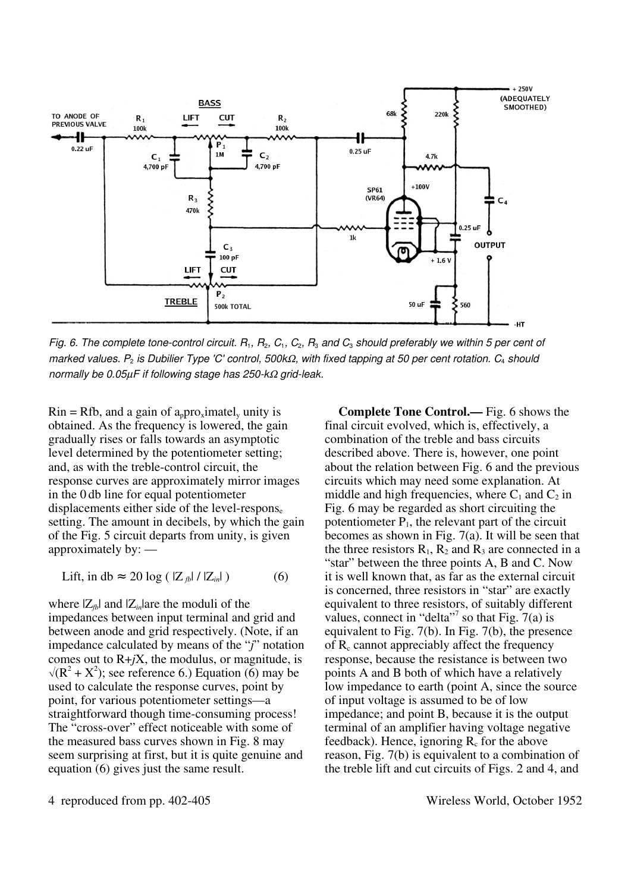

*Fig. 6. The complete tone-control circuit. R*1*, R*2*, C*1*, C*2*, R*3 *and C*3 *should preferably we within 5 per cent of marked values. P*2 *is Dubilier Type 'C' control, 500k*Ω*, with fixed tapping at 50 per cent rotation. C*4 *should normally be 0.05*µ*F if following stage has 250-k*Ω *grid-leak.*

 $\text{R}$ in = Rfb, and a gain of a<sub>p</sub>pro<sub>x</sub>imatel, unity is obtained. As the frequency is lowered, the gain gradually rises or falls towards an asymptotic level determined by the potentiometer setting; and, as with the treble-control circuit, the response curves are approximately mirror images in the 0 db line for equal potentiometer displacements either side of the level-respons $_{e}$ setting. The amount in decibels, by which the gain of the Fig. 5 circuit departs from unity, is given approximately by: —

$$
\text{Lift, in db} \approx 20 \log \left( \left| Z_{\text{fb}} \right| / \left| Z_{\text{in}} \right| \right) \tag{6}
$$

where  $|Z_{fb}|$  and  $|Z_{in}|$ are the moduli of the impedances between input terminal and grid and between anode and grid respectively. (Note, if an impedance calculated by means of the "*j*" notation comes out to  $R+jX$ , the modulus, or magnitude, is  $\sqrt{(R^2 + X^2)}$ ; see reference 6.) Equation (6) may be used to calculate the response curves, point by point, for various potentiometer settings—a straightforward though time-consuming process! The "cross-over" effect noticeable with some of the measured bass curves shown in Fig. 8 may seem surprising at first, but it is quite genuine and equation (6) gives just the same result.

Complete Tone Control.— Fig. 6 shows the final circuit evolved, which is, effectively, a combination of the treble and bass circuits described above. There is, however, one point about the relation between Fig. 6 and the previous circuits which may need some explanation. At middle and high frequencies, where  $C_1$  and  $C_2$  in Fig. 6 may be regarded as short circuiting the potentiometer  $P_1$ , the relevant part of the circuit becomes as shown in Fig. 7(a). It will be seen that the three resistors  $R_1$ ,  $R_2$  and  $R_3$  are connected in a "star" between the three points A, B and C. Now it is well known that, as far as the external circuit is concerned, three resistors in "star" are exactly equivalent to three resistors, of suitably different values, connect in "delta"<sup>7</sup> so that Fig.  $7(a)$  is equivalent to Fig. 7(b). In Fig. 7(b), the presence of  $R_c$  cannot appreciably affect the frequency response, because the resistance is between two points A and B both of which have a relatively low impedance to earth (point A, since the source of input voltage is assumed to be of low impedance; and point B, because it is the output terminal of an amplifier having voltage negative feedback). Hence, ignoring  $R_c$  for the above reason, Fig. 7(b) is equivalent to a combination of the treble lift and cut circuits of Figs. 2 and 4, and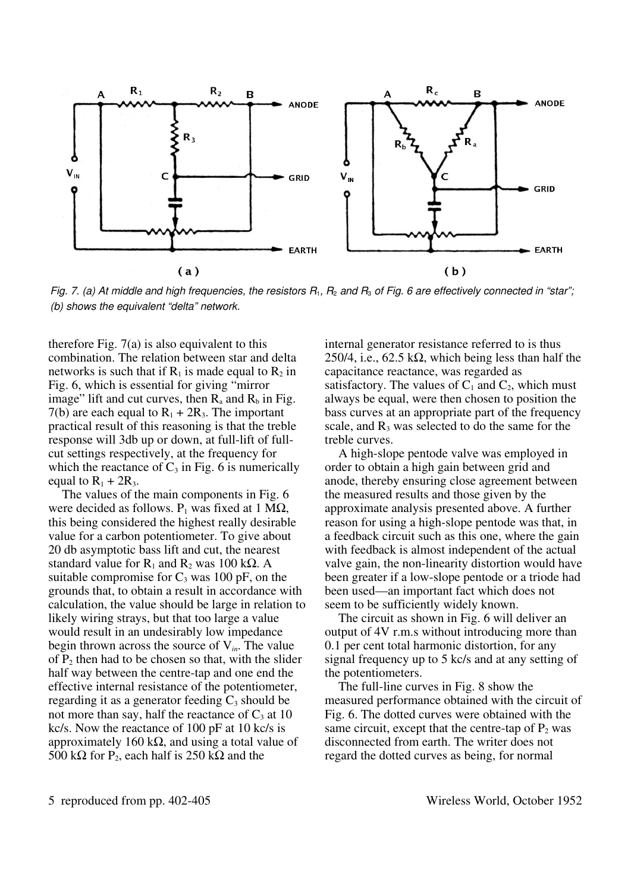

*Fig. 7. (a) At middle and high frequencies, the resistors R*1*, R*2 *and R*3 *of Fig. 6 are effectively connected in "star"; (b) shows the equivalent "delta" network.*

therefore Fig.  $7(a)$  is also equivalent to this combination. The relation between star and delta networks is such that if  $R_1$  is made equal to  $R_2$  in Fig. 6, which is essential for giving "mirror image" lift and cut curves, then  $R_a$  and  $R_b$  in Fig. 7(b) are each equal to  $R_1 + 2R_3$ . The important practical result of this reasoning is that the treble response will 3db up or down, at full-lift of fullcut settings respectively, at the frequency for which the reactance of  $C_3$  in Fig. 6 is numerically equal to  $R_1 + 2R_3$ .

The values of the main components in Fig. 6 were decided as follows.  $P_1$  was fixed at 1 M $\Omega$ , this being considered the highest really desirable value for a carbon potentiometer. To give about 20 db asymptotic bass lift and cut, the nearest standard value for  $R_1$  and  $R_2$  was 100 k $\Omega$ . A suitable compromise for  $C_3$  was 100 pF, on the grounds that, to obtain a result in accordance with calculation, the value should be large in relation to likely wiring strays, but that too large a value would result in an undesirably low impedance begin thrown across the source of V*in*. The value of  $P_2$  then had to be chosen so that, with the slider half way between the centre-tap and one end the effective internal resistance of the potentiometer, regarding it as a generator feeding  $C_3$  should be not more than say, half the reactance of  $C_3$  at 10 kc/s. Now the reactance of 100 pF at 10 kc/s is approximately 160 kΩ, and using a total value of 500 k $\Omega$  for P<sub>2</sub>, each half is 250 k $\Omega$  and the

internal generator resistance referred to is thus 250/4, i.e.,  $62.5 \text{ k}\Omega$ , which being less than half the capacitance reactance, was regarded as satisfactory. The values of  $C_1$  and  $C_2$ , which must always be equal, were then chosen to position the bass curves at an appropriate part of the frequency scale, and  $R_3$  was selected to do the same for the treble curves.

A high-slope pentode valve was employed in order to obtain a high gain between grid and anode, thereby ensuring close agreement between the measured results and those given by the approximate analysis presented above. A further reason for using a high-slope pentode was that, in a feedback circuit such as this one, where the gain with feedback is almost independent of the actual valve gain, the non-linearity distortion would have been greater if a low-slope pentode or a triode had been used—an important fact which does not seem to be sufficiently widely known.

The circuit as shown in Fig. 6 will deliver an output of 4V r.m.s without introducing more than 0.1 per cent total harmonic distortion, for any signal frequency up to 5 kc/s and at any setting of the potentiometers.

The full-line curves in Fig. 8 show the measured performance obtained with the circuit of Fig. 6. The dotted curves were obtained with the same circuit, except that the centre-tap of  $P_2$  was disconnected from earth. The writer does not regard the dotted curves as being, for normal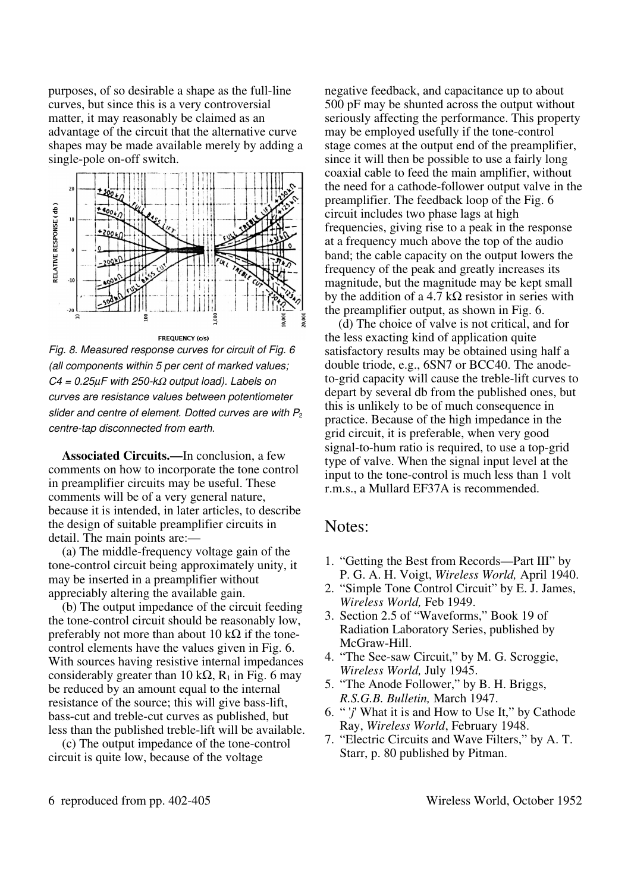purposes, of so desirable a shape as the full-line curves, but since this is a very controversial matter, it may reasonably be claimed as an advantage of the circuit that the alternative curve shapes may be made available merely by adding a single-pole on-off switch.



**FREQUENCY (c/s)** *Fig. 8. Measured response curves for circuit of Fig. 6 (all components within 5 per cent of marked values; C4 = 0.25*µ*F with 250-k*Ω *output load). Labels on curves are resistance values between potentiometer*  slider and centre of element. Dotted curves are with P<sub>2</sub>

*centre-tap disconnected from earth.*

Associated Circuits.—In conclusion, a few comments on how to incorporate the tone control in preamplifier circuits may be useful. These comments will be of a very general nature, because it is intended, in later articles, to describe the design of suitable preamplifier circuits in detail. The main points are:—

(a) The middle-frequency voltage gain of the tone-control circuit being approximately unity, it may be inserted in a preamplifier without appreciably altering the available gain.

(b) The output impedance of the circuit feeding the tone-control circuit should be reasonably low, preferably not more than about 10 k $\Omega$  if the tonecontrol elements have the values given in Fig. 6. With sources having resistive internal impedances considerably greater than 10 k $\Omega$ , R<sub>1</sub> in Fig. 6 may be reduced by an amount equal to the internal resistance of the source; this will give bass-lift, bass-cut and treble-cut curves as published, but less than the published treble-lift will be available.

(c) The output impedance of the tone-control circuit is quite low, because of the voltage

negative feedback, and capacitance up to about 500 pF may be shunted across the output without seriously affecting the performance. This property may be employed usefully if the tone-control stage comes at the output end of the preamplifier, since it will then be possible to use a fairly long coaxial cable to feed the main amplifier, without the need for a cathode-follower output valve in the preamplifier. The feedback loop of the Fig. 6 circuit includes two phase lags at high frequencies, giving rise to a peak in the response at a frequency much above the top of the audio band; the cable capacity on the output lowers the frequency of the peak and greatly increases its magnitude, but the magnitude may be kept small by the addition of a 4.7 kΩ resistor in series with the preamplifier output, as shown in Fig. 6.

(d) The choice of valve is not critical, and for the less exacting kind of application quite satisfactory results may be obtained using half a double triode, e.g., 6SN7 or BCC40. The anodeto-grid capacity will cause the treble-lift curves to depart by several db from the published ones, but this is unlikely to be of much consequence in practice. Because of the high impedance in the grid circuit, it is preferable, when very good signal-to-hum ratio is required, to use a top-grid type of valve. When the signal input level at the input to the tone-control is much less than 1 volt r.m.s., a Mullard EF37A is recommended.

## Notes:

- 1. "Getting the Best from Records—Part III" by P. G. A. H. Voigt, *Wireless World,* April 1940.
- 2. "Simple Tone Control Circuit" by E. J. James, *Wireless World,* Feb 1949.
- 3. Section 2.5 of "Waveforms," Book 19 of Radiation Laboratory Series, published by McGraw-Hill.
- 4. "The See-saw Circuit," by M. G. Scroggie, *Wireless World,* July 1945.
- 5. "The Anode Follower," by B. H. Briggs, *R.S.G.B. Bulletin,* March 1947.
- 6. " '*j*' What it is and How to Use It," by Cathode Ray, *Wireless World*, February 1948.
- 7. "Electric Circuits and Wave Filters," by A. T. Starr, p. 80 published by Pitman.